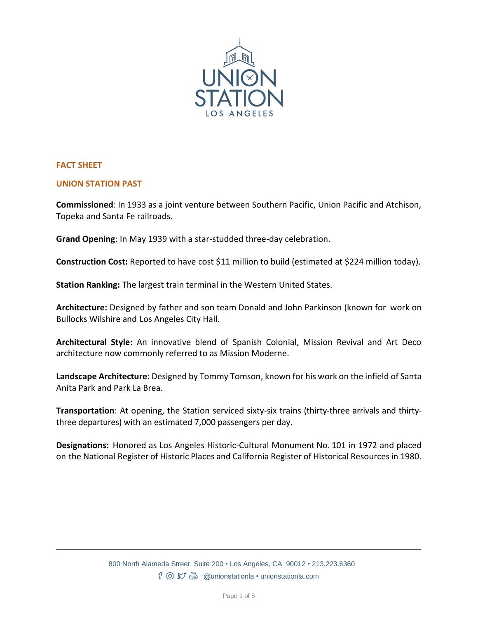

# **FACT SHEET**

#### **UNION STATION PAST**

**Commissioned**: In 1933 as a joint venture between Southern Pacific, Union Pacific and Atchison, Topeka and Santa Fe railroads.

**Grand Opening**: In May 1939 with a star-studded three-day celebration.

**Construction Cost:** Reported to have cost \$11 million to build (estimated at \$224 million today).

**Station Ranking:** The largest train terminal in the Western United States.

**Architecture:** Designed by father and son team Donald and John Parkinson (known for work on Bullocks Wilshire and Los Angeles City Hall.

**Architectural Style:** An innovative blend of Spanish Colonial, Mission Revival and Art Deco architecture now commonly referred to as Mission Moderne.

**Landscape Architecture:** Designed by Tommy Tomson, known for his work on the infield of Santa Anita Park and Park La Brea.

**Transportation**: At opening, the Station serviced sixty-six trains (thirty-three arrivals and thirtythree departures) with an estimated 7,000 passengers per day.

**Designations:** Honored as Los Angeles Historic-Cultural Monument No. 101 in 1972 and placed on the National Register of Historic Places and California Register of Historical Resources in 1980.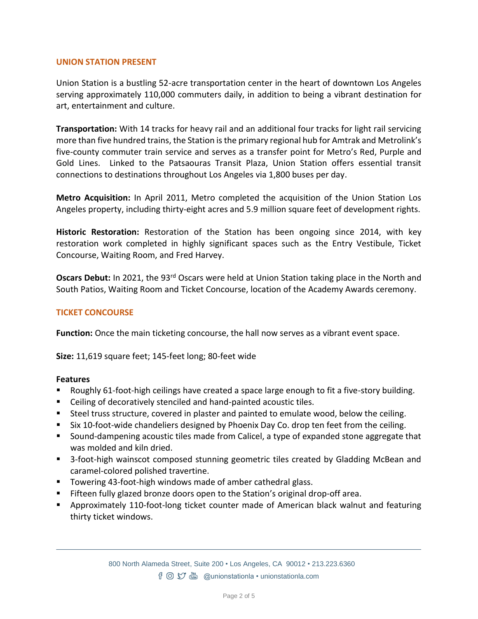# **UNION STATION PRESENT**

Union Station is a bustling 52-acre transportation center in the heart of downtown Los Angeles serving approximately 110,000 commuters daily, in addition to being a vibrant destination for art, entertainment and culture.

**Transportation:** With 14 tracks for heavy rail and an additional four tracks for light rail servicing more than five hundred trains, the Station is the primary regional hub for Amtrak and Metrolink's five-county commuter train service and serves as a transfer point for Metro's Red, Purple and Gold Lines. Linked to the Patsaouras Transit Plaza, Union Station offers essential transit connections to destinations throughout Los Angeles via 1,800 buses per day.

**Metro Acquisition:** In April 2011, Metro completed the acquisition of the Union Station Los Angeles property, including thirty-eight acres and 5.9 million square feet of development rights.

**Historic Restoration:** Restoration of the Station has been ongoing since 2014, with key restoration work completed in highly significant spaces such as the Entry Vestibule, Ticket Concourse, Waiting Room, and Fred Harvey.

**Oscars Debut:** In 2021, the 93rd Oscars were held at Union Station taking place in the North and South Patios, Waiting Room and Ticket Concourse, location of the Academy Awards ceremony.

# **TICKET CONCOURSE**

**Function:** Once the main ticketing concourse, the hall now serves as a vibrant event space.

**Size:** 11,619 square feet; 145-feet long; 80-feet wide

## **Features**

- Roughly 61-foot-high ceilings have created a space large enough to fit a five-story building.
- Ceiling of decoratively stenciled and hand-painted acoustic tiles.
- Steel truss structure, covered in plaster and painted to emulate wood, below the ceiling.
- Six 10-foot-wide chandeliers designed by Phoenix Day Co. drop ten feet from the ceiling.
- Sound-dampening acoustic tiles made from Calicel, a type of expanded stone aggregate that was molded and kiln dried.
- 3-foot-high wainscot composed stunning geometric tiles created by Gladding McBean and caramel-colored polished travertine.
- Towering 43-foot-high windows made of amber cathedral glass.
- **EXTED** Fifteen fully glazed bronze doors open to the Station's original drop-off area.
- **E** Approximately 110-foot-long ticket counter made of American black walnut and featuring thirty ticket windows.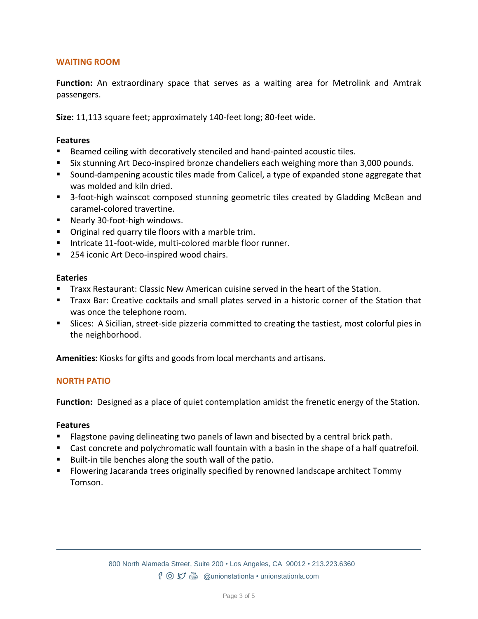# **WAITING ROOM**

**Function:** An extraordinary space that serves as a waiting area for Metrolink and Amtrak passengers.

**Size:** 11,113 square feet; approximately 140-feet long; 80-feet wide.

# **Features**

- Beamed ceiling with decoratively stenciled and hand-painted acoustic tiles.
- Six stunning Art Deco-inspired bronze chandeliers each weighing more than 3,000 pounds.
- Sound-dampening acoustic tiles made from Calicel, a type of expanded stone aggregate that was molded and kiln dried.
- 3-foot-high wainscot composed stunning geometric tiles created by Gladding McBean and caramel-colored travertine.
- Nearly 30-foot-high windows.
- Original red quarry tile floors with a marble trim.
- Intricate 11-foot-wide, multi-colored marble floor runner.
- 254 iconic Art Deco-inspired wood chairs.

## **Eateries**

- Traxx Restaurant: Classic New American cuisine served in the heart of the Station.
- Traxx Bar: Creative cocktails and small plates served in a historic corner of the Station that was once the telephone room.
- **EXECT:** Slices: A Sicilian, street-side pizzeria committed to creating the tastiest, most colorful pies in the neighborhood.

Amenities: Kiosks for gifts and goods from local merchants and artisans.

## **NORTH PATIO**

**Function:** Designed as a place of quiet contemplation amidst the frenetic energy of the Station.

# **Features**

- Flagstone paving delineating two panels of lawn and bisected by a central brick path.
- Cast concrete and polychromatic wall fountain with a basin in the shape of a half quatrefoil.
- Built-in tile benches along the south wall of the patio.
- Flowering Jacaranda trees originally specified by renowned landscape architect Tommy Tomson.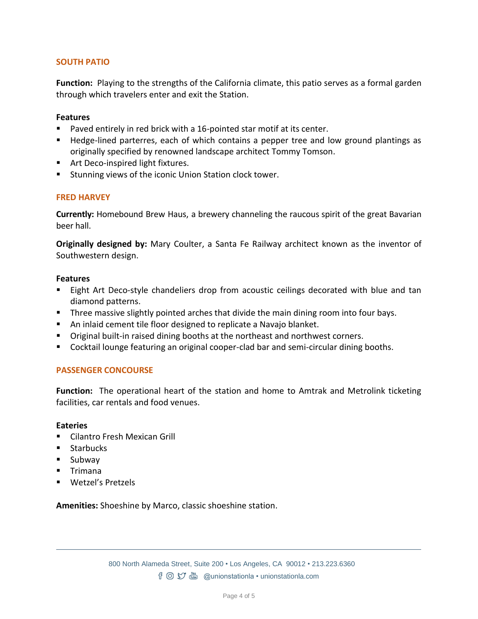# **SOUTH PATIO**

**Function:** Playing to the strengths of the California climate, this patio serves as a formal garden through which travelers enter and exit the Station.

#### **Features**

- Paved entirely in red brick with a 16-pointed star motif at its center.
- Hedge-lined parterres, each of which contains a pepper tree and low ground plantings as originally specified by renowned landscape architect Tommy Tomson.
- Art Deco-inspired light fixtures.
- Stunning views of the iconic Union Station clock tower.

## **FRED HARVEY**

**Currently:** Homebound Brew Haus, a brewery channeling the raucous spirit of the great Bavarian beer hall.

**Originally designed by:** Mary Coulter, a Santa Fe Railway architect known as the inventor of Southwestern design.

#### **Features**

- Eight Art Deco-style chandeliers drop from acoustic ceilings decorated with blue and tan diamond patterns.
- **Three massive slightly pointed arches that divide the main dining room into four bays.**
- An inlaid cement tile floor designed to replicate a Navajo blanket.
- Original built-in raised dining booths at the northeast and northwest corners.
- Cocktail lounge featuring an original cooper-clad bar and semi-circular dining booths.

## **PASSENGER CONCOURSE**

**Function:** The operational heart of the station and home to Amtrak and Metrolink ticketing facilities, car rentals and food venues.

#### **Eateries**

- Cilantro Fresh Mexican Grill
- Starbucks
- Subway
- Trimana
- Wetzel's Pretzels

**Amenities:** Shoeshine by Marco, classic shoeshine station.